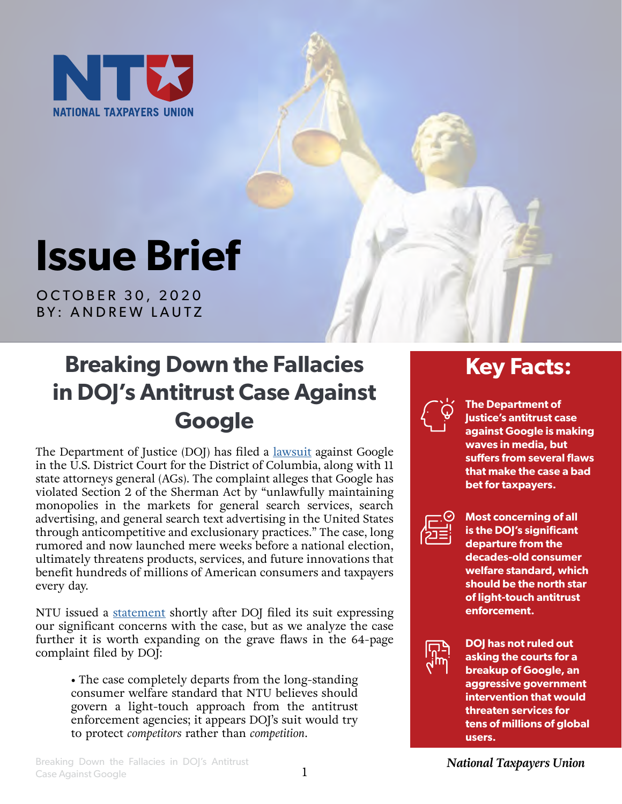

# **Issue Brief**

OCTOBER 30, 2020 BY: ANDREW LAUTZ

## **Breaking Down the Fallacies in DOJ's Antitrust Case Against Google**

The Department of Justice (DOJ) has filed a [lawsuit](https://www.justice.gov/opa/press-release/file/1328941/download) against Google in the U.S. District Court for the District of Columbia, along with 11 state attorneys general (AGs). The complaint alleges that Google has violated Section 2 of the Sherman Act by "unlawfully maintaining monopolies in the markets for general search services, search advertising, and general search text advertising in the United States through anticompetitive and exclusionary practices." The case, long rumored and now launched mere weeks before a national election, ultimately threatens products, services, and future innovations that benefit hundreds of millions of American consumers and taxpayers every day.

NTU issued a [statement](https://www.ntu.org/publications/detail/dojs-antitrust-lawsuit-against-google-will-harm-taxpayers-and-consumers) shortly after DOJ filed its suit expressing our significant concerns with the case, but as we analyze the case further it is worth expanding on the grave flaws in the 64-page complaint filed by DOJ:

**•** The case completely departs from the long-standing consumer welfare standard that NTU believes should govern a light-touch approach from the antitrust enforcement agencies; it appears DOJ's suit would try to protect *competitors* rather than *competition*.

### **Key Facts:**



**The Department of Justice's antitrust case against Google is making waves in media, but suffers from several flaws that make the case a bad bet for taxpayers.**



**Most concerning of all is the DOJ's significant departure from the decades-old consumer welfare standard, which should be the north star of light-touch antitrust enforcement.**



**DOJ has not ruled out asking the courts for a breakup of Google, an aggressive government intervention that would threaten services for tens of millions of global users.**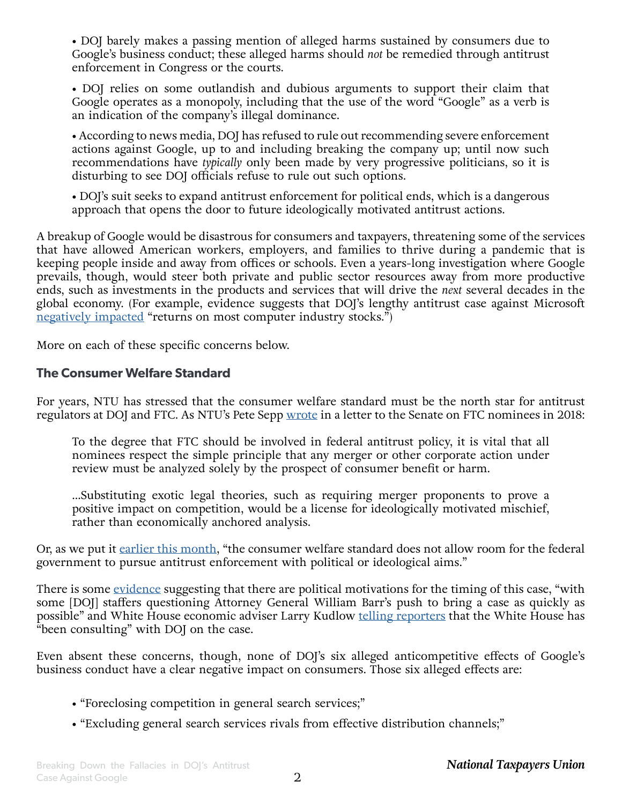**•** DOJ barely makes a passing mention of alleged harms sustained by consumers due to Google's business conduct; these alleged harms should *not* be remedied through antitrust enforcement in Congress or the courts.

**•** DOJ relies on some outlandish and dubious arguments to support their claim that Google operates as a monopoly, including that the use of the word "Google" as a verb is an indication of the company's illegal dominance.

**•** According to news media, DOJ has refused to rule out recommending severe enforcement actions against Google, up to and including breaking the company up; until now such recommendations have *typically* only been made by very progressive politicians, so it is disturbing to see DOJ officials refuse to rule out such options.

**•** DOJ's suit seeks to expand antitrust enforcement for political ends, which is a dangerous approach that opens the door to future ideologically motivated antitrust actions.

A breakup of Google would be disastrous for consumers and taxpayers, threatening some of the services that have allowed American workers, employers, and families to thrive during a pandemic that is keeping people inside and away from offices or schools. Even a years-long investigation where Google prevails, though, would steer both private and public sector resources away from more productive ends, such as investments in the products and services that will drive the *next* several decades in the global economy. (For example, evidence suggests that DOJ's lengthy antitrust case against Microsoft [negatively impacted](https://www.ntu.org/publications/detail/commentary-to-the-ftc-on-competition-and-consumer-protection-in-the-21st-century) "returns on most computer industry stocks.")

More on each of these specific concerns below.

#### **The Consumer Welfare Standard**

For years, NTU has stressed that the consumer welfare standard must be the north star for antitrust regulators at DOJ and FTC. As NTU's Pete Sepp [wrote](https://www.ntu.org/publications/detail/ntu-letter-on-federal-trade-commission-nominees) in a letter to the Senate on FTC nominees in 2018:

To the degree that FTC should be involved in federal antitrust policy, it is vital that all nominees respect the simple principle that any merger or other corporate action under review must be analyzed solely by the prospect of consumer benefit or harm.

...Substituting exotic legal theories, such as requiring merger proponents to prove a positive impact on competition, would be a license for ideologically motivated mischief, rather than economically anchored analysis.

Or, as we put it [earlier this month](https://www.ntu.org/publications/detail/bad-moon-rising-house-hearing-on-tech-filled-with-calls-for-government-intervention), "the consumer welfare standard does not allow room for the federal government to pursue antitrust enforcement with political or ideological aims."

There is some [evidence](https://www.wsj.com/articles/justice-department-to-file-long-awaited-antitrust-suit-against-google-11603195203) suggesting that there are political motivations for the timing of this case, "with some [DOJ] staffers questioning Attorney General William Barr's push to bring a case as quickly as possible" and White House economic adviser Larry Kudlow [telling reporters](https://www.reuters.com/article/tech-antitrust-google-adviser/trump-has-consulted-with-justice-department-on-google-antitrust-case-kudlow-idINL1N2HB125) that the White House has "been consulting" with DOJ on the case.

Even absent these concerns, though, none of DOJ's six alleged anticompetitive effects of Google's business conduct have a clear negative impact on consumers. Those six alleged effects are:

- **•** "Foreclosing competition in general search services;"
- **•** "Excluding general search services rivals from effective distribution channels;"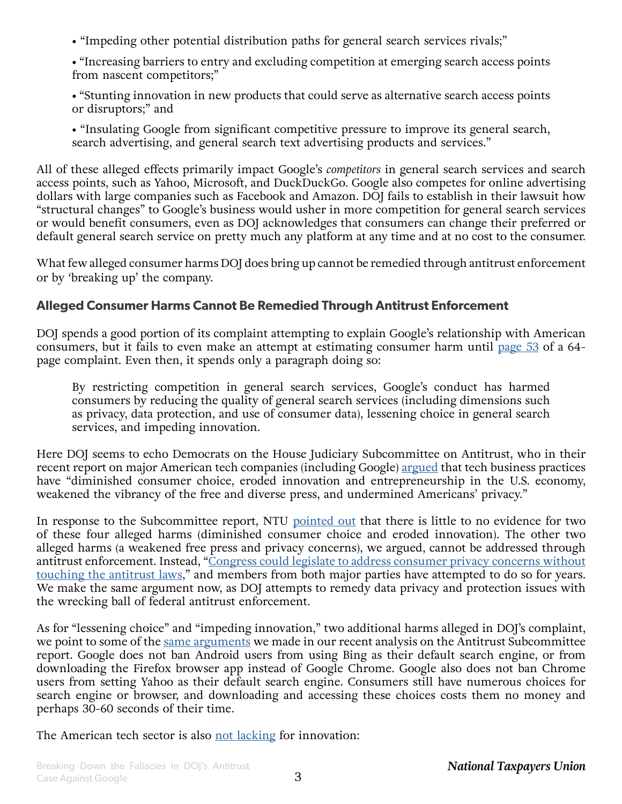**•** "Impeding other potential distribution paths for general search services rivals;"

**•** "Increasing barriers to entry and excluding competition at emerging search access points from nascent competitors;"

• "Stunting innovation in new products that could serve as alternative search access points or disruptors;" and

**•** "Insulating Google from significant competitive pressure to improve its general search, search advertising, and general search text advertising products and services."

All of these alleged effects primarily impact Google's *competitors* in general search services and search access points, such as Yahoo, Microsoft, and DuckDuckGo. Google also competes for online advertising dollars with large companies such as Facebook and Amazon. DOJ fails to establish in their lawsuit how "structural changes" to Google's business would usher in more competition for general search services or would benefit consumers, even as DOJ acknowledges that consumers can change their preferred or default general search service on pretty much any platform at any time and at no cost to the consumer.

What few alleged consumer harms DOJ does bring up cannot be remedied through antitrust enforcement or by 'breaking up' the company.

#### **Alleged Consumer Harms Cannot Be Remedied Through Antitrust Enforcement**

DOJ spends a good portion of its complaint attempting to explain Google's relationship with American consumers, but it fails to even make an attempt at estimating consumer harm until [page 53](https://www.justice.gov/opa/press-release/file/1328941/download#page=53) of a 64 page complaint. Even then, it spends only a paragraph doing so:

By restricting competition in general search services, Google's conduct has harmed consumers by reducing the quality of general search services (including dimensions such as privacy, data protection, and use of consumer data), lessening choice in general search services, and impeding innovation.

Here DOJ seems to echo Democrats on the House Judiciary Subcommittee on Antitrust, who in their recent report on major American tech companies (including Google) [argued](https://judiciary.house.gov/uploadedfiles/competition_in_digital_markets.pdf#page=12) that tech business practices have "diminished consumer choice, eroded innovation and entrepreneurship in the U.S. economy, weakened the vibrancy of the free and diverse press, and undermined Americans' privacy."

In response to the Subcommittee report, NTU [pointed out](https://www.ntu.org/publications/detail/house-judiciary-report-on-tech-features-misguided-harmful-policy-recommendations) that there is little to no evidence for two of these four alleged harms (diminished consumer choice and eroded innovation). The other two alleged harms (a weakened free press and privacy concerns), we argued, cannot be addressed through antitrust enforcement. Instead, ["Congress could legislate to address consumer privacy concerns without](https://www.ntu.org/publications/detail/house-judiciary-report-on-tech-features-misguided-harmful-policy-recommendations)  [touching the antitrust laws,](https://www.ntu.org/publications/detail/house-judiciary-report-on-tech-features-misguided-harmful-policy-recommendations)" and members from both major parties have attempted to do so for years. We make the same argument now, as DOJ attempts to remedy data privacy and protection issues with the wrecking ball of federal antitrust enforcement.

As for "lessening choice" and "impeding innovation," two additional harms alleged in DOJ's complaint, we point to some of the [same arguments](https://www.ntu.org/publications/detail/house-judiciary-report-on-tech-features-misguided-harmful-policy-recommendations) we made in our recent analysis on the Antitrust Subcommittee report. Google does not ban Android users from using Bing as their default search engine, or from downloading the Firefox browser app instead of Google Chrome. Google also does not ban Chrome users from setting Yahoo as their default search engine. Consumers still have numerous choices for search engine or browser, and downloading and accessing these choices costs them no money and perhaps 30-60 seconds of their time.

The American tech sector is also [not lacking](https://www.ntu.org/publications/detail/house-judiciary-report-on-tech-features-misguided-harmful-policy-recommendations) for innovation: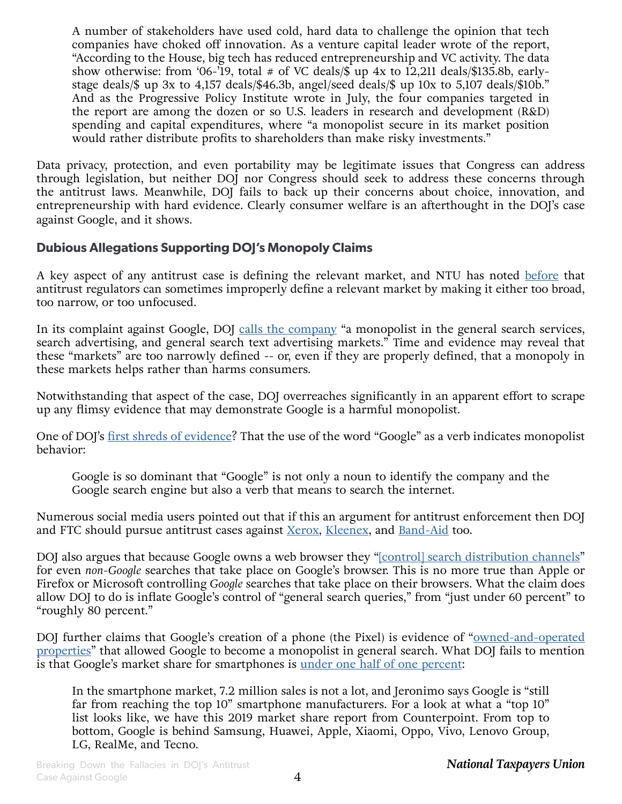A number of stakeholders have used cold, hard data to challenge the opinion that tech companies have choked off innovation. As a venture capital leader wrote of the report, "According to the House, big tech has reduced entrepreneurship and VC activity. The data show otherwise: from '06-'19, total  $\#$  of VC deals/ $\$\$ up 4x to 12,211 deals/ $\$135.8$ b, earlystage deals/\$ up 3x to 4,157 deals/\$46.3b, angel/seed deals/\$ up 10x to 5,107 deals/\$10b." And as the Progressive Policy Institute wrote in July, the four companies targeted in the report are among the dozen or so U.S. leaders in research and development (R&D) spending and capital expenditures, where "a monopolist secure in its market position would rather distribute profits to shareholders than make risky investments."

Data privacy, protection, and even portability may be legitimate issues that Congress can address through legislation, but neither DOJ nor Congress should seek to address these concerns through the antitrust laws. Meanwhile, DOJ fails to back up their concerns about choice, innovation, and entrepreneurship with hard evidence. Clearly consumer welfare is an afterthought in the DOJ's case against Google, and it shows.

#### **Dubious Allegations Supporting DOJ's Monopoly Claims**

A key aspect of any antitrust case is defining the relevant market, and NTU has noted [before](https://www.ntu.org/publications/detail/house-judiciary-report-on-tech-features-misguided-harmful-policy-recommendations) that antitrust regulators can sometimes improperly define a relevant market by making it either too broad, too narrow, or too unfocused.

In its complaint against Google, DOJ [calls the company](https://www.justice.gov/opa/press-release/file/1328941/download#page=36) "a monopolist in the general search services, search advertising, and general search text advertising markets." Time and evidence may reveal that these "markets" are too narrowly defined -- or, even if they are properly defined, that a monopoly in these markets helps rather than harms consumers.

Notwithstanding that aspect of the case, DOJ overreaches significantly in an apparent effort to scrape up any flimsy evidence that may demonstrate Google is a harmful monopolist.

One of DOJ's [first shreds of evidence](https://www.justice.gov/opa/press-release/file/1328941/download#page=4)? That the use of the word "Google" as a verb indicates monopolist behavior:

Google is so dominant that "Google" is not only a noun to identify the company and the Google search engine but also a verb that means to search the internet.

Numerous social media users pointed out that if this an argument for antitrust enforcement then DOJ and FTC should pursue antitrust cases against [Xerox](https://twitter.com/KevinWGlass/status/1318562046972145665), [Kleenex,](https://twitter.com/mattyglesias/status/1318562669872467970) and [Band-Aid](https://twitter.com/SonnyBunch/status/1318562144514904067) too.

DOJ also argues that because Google owns a web browser they ["\[control\] search distribution channels](https://www.justice.gov/opa/press-release/file/1328941/download#page=4)" for even *non-Google* searches that take place on Google's browser. This is no more true than Apple or Firefox or Microsoft controlling *Google* searches that take place on their browsers. What the claim does allow DOJ to do is inflate Google's control of "general search queries," from "just under 60 percent" to "roughly 80 percent."

DOJ further claims that Google's creation of a phone (the Pixel) is evidence of ["owned-and-operated](https://www.justice.gov/opa/press-release/file/1328941/download#page=18) [properties](https://www.justice.gov/opa/press-release/file/1328941/download#page=18)" that allowed Google to become a monopolist in general search. What DOJ fails to mention is that Google's market share for smartphones is <u>under one half of one percent</u>:

In the smartphone market, 7.2 million sales is not a lot, and Jeronimo says Google is "still far from reaching the top 10" smartphone manufacturers. For a look at what a "top 10" list looks like, we have this 2019 market share report from Counterpoint. From top to bottom, Google is behind Samsung, Huawei, Apple, Xiaomi, Oppo, Vivo, Lenovo Group, LG, RealMe, and Tecno.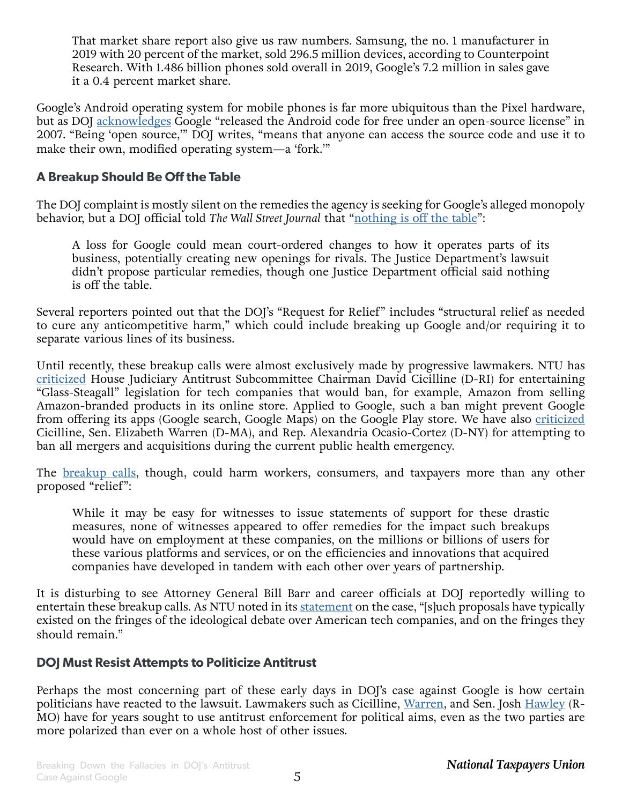That market share report also give us raw numbers. Samsung, the no. 1 manufacturer in 2019 with 20 percent of the market, sold 296.5 million devices, according to Counterpoint Research. With 1.486 billion phones sold overall in 2019, Google's 7.2 million in sales gave it a 0.4 percent market share.

Google's Android operating system for mobile phones is far more ubiquitous than the Pixel hardware, but as DOJ [acknowledges](https://www.justice.gov/opa/press-release/file/1328941/download#page=20) Google "released the Android code for free under an open-source license" in 2007. "Being 'open source,'" DOJ writes, "means that anyone can access the source code and use it to make their own, modified operating system—a 'fork.'"

#### **A Breakup Should Be Off the Table**

The DOJ complaint is mostly silent on the remedies the agency is seeking for Google's alleged monopoly behavior, but a DOJ official told *The Wall Street Journal* that "[nothing is off the table](https://www.wsj.com/articles/justice-department-to-file-long-awaited-antitrust-suit-against-google-11603195203?mod=hp_lead_pos1)":

A loss for Google could mean court-ordered changes to how it operates parts of its business, potentially creating new openings for rivals. The Justice Department's lawsuit didn't propose particular remedies, though one Justice Department official said nothing is off the table.

Several reporters pointed out that the DOJ's "Request for Relief" includes "structural relief as needed to cure any anticompetitive harm," which could include breaking up Google and/or requiring it to separate various lines of its business.

Until recently, these breakup calls were almost exclusively made by progressive lawmakers. NTU has [criticized](https://www.ntu.org/publications/detail/bad-moon-rising-house-hearing-on-tech-filled-with-calls-for-government-intervention) House Judiciary Antitrust Subcommittee Chairman David Cicilline (D-RI) for entertaining "Glass-Steagall" legislation for tech companies that would ban, for example, Amazon from selling Amazon-branded products in its online store. Applied to Google, such a ban might prevent Google from offering its apps (Google search, Google Maps) on the Google Play store. We have also [criticized](https://www.ntu.org/publications/detail/ntu-leads-27-free-market-organizations-in-opposing-merger-ban-proposals) Cicilline, Sen. Elizabeth Warren (D-MA), and Rep. Alexandria Ocasio-Cortez (D-NY) for attempting to ban all mergers and acquisitions during the current public health emergency.

The [breakup calls,](https://www.ntu.org/publications/detail/bad-moon-rising-house-hearing-on-tech-filled-with-calls-for-government-intervention) though, could harm workers, consumers, and taxpayers more than any other proposed "relief":

While it may be easy for witnesses to issue statements of support for these drastic measures, none of witnesses appeared to offer remedies for the impact such breakups would have on employment at these companies, on the millions or billions of users for these various platforms and services, or on the efficiencies and innovations that acquired companies have developed in tandem with each other over years of partnership.

It is disturbing to see Attorney General Bill Barr and career officials at DOJ reportedly willing to entertain these breakup calls. As NTU noted in its [statement](https://www.ntu.org/publications/detail/dojs-antitrust-lawsuit-against-google-will-harm-taxpayers-and-consumers) on the case, "[s]uch proposals have typically existed on the fringes of the ideological debate over American tech companies, and on the fringes they should remain."

#### **DOJ Must Resist Attempts to Politicize Antitrust**

Perhaps the most concerning part of these early days in DOJ's case against Google is how certain politicians have reacted to the lawsuit. Lawmakers such as Cicilline, [Warren,](https://www.ntu.org/publications/detail/pandemic-anti-monopoly-act-would-hamstring-the-economic-recovery) and Sen. Josh [Hawley](https://www.ntu.org/publications/detail/senators-should-reject-efforts-to-interfere-with-a-free-and-open-internet) (R-MO) have for years sought to use antitrust enforcement for political aims, even as the two parties are more polarized than ever on a whole host of other issues.